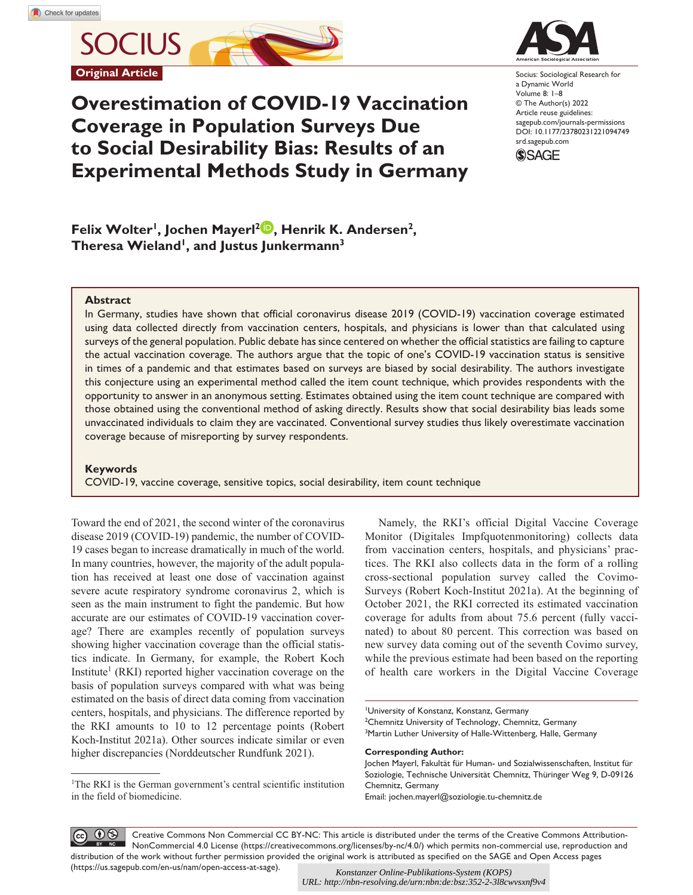**Original Article**

**SOCIUS** 





Socius: Sociological Research for a Dynamic World Volume 8: 1–8 © The Author(s) 2022 Article reuse guidelines: [sagepub.com/journals-permissions](https://us.sagepub.com/en-us/journals-permissions) https://doi.org/10.1177/23780231221094749 DOI: 10.1177/23780231221094749 [srd.sagepub.com](https://srd.sagepub.com) **SSAGE** 

**Felix Wolter1, Jochen Mayerl2 , Henrik K. Andersen2,**  Theresa Wieland<sup>1</sup>, and Justus Junkermann<sup>3</sup>

### **Abstract**

In Germany, studies have shown that official coronavirus disease 2019 (COVID-19) vaccination coverage estimated using data collected directly from vaccination centers, hospitals, and physicians is lower than that calculated using surveys of the general population. Public debate has since centered on whether the official statistics are failing to capture the actual vaccination coverage. The authors argue that the topic of one's COVID-19 vaccination status is sensitive in times of a pandemic and that estimates based on surveys are biased by social desirability. The authors investigate this conjecture using an experimental method called the item count technique, which provides respondents with the opportunity to answer in an anonymous setting. Estimates obtained using the item count technique are compared with those obtained using the conventional method of asking directly. Results show that social desirability bias leads some unvaccinated individuals to claim they are vaccinated. Conventional survey studies thus likely overestimate vaccination coverage because of misreporting by survey respondents.

### **Keywords**

COVID-19, vaccine coverage, sensitive topics, social desirability, item count technique

Toward the end of 2021, the second winter of the coronavirus disease 2019 (COVID-19) pandemic, the number of COVID-19 cases began to increase dramatically in much of the world. In many countries, however, the majority of the adult population has received at least one dose of vaccination against severe acute respiratory syndrome coronavirus 2, which is seen as the main instrument to fight the pandemic. But how accurate are our estimates of COVID-19 vaccination coverage? There are examples recently of population surveys showing higher vaccination coverage than the official statistics indicate. In Germany, for example, the Robert Koch Institute<sup>1</sup> (RKI) reported higher vaccination coverage on the basis of population surveys compared with what was being estimated on the basis of direct data coming from vaccination centers, hospitals, and physicians. The difference reported by the RKI amounts to 10 to 12 percentage points (Robert Koch-Institut 2021a). Other sources indicate similar or even higher discrepancies (Norddeutscher Rundfunk 2021).

Namely, the RKI's official Digital Vaccine Coverage Monitor (Digitales Impfquotenmonitoring) collects data from vaccination centers, hospitals, and physicians' practices. The RKI also collects data in the form of a rolling cross-sectional population survey called the Covimo-Surveys (Robert Koch-Institut 2021a). At the beginning of October 2021, the RKI corrected its estimated vaccination coverage for adults from about 75.6 percent (fully vaccinated) to about 80 percent. This correction was based on new survey data coming out of the seventh Covimo survey, while the previous estimate had been based on the reporting of health care workers in the Digital Vaccine Coverage

**Corresponding Author:**

 $0<sup>6</sup>$ Creative Commons Non Commercial CC BY-NC: This article is distributed under the terms of the Creative Commons Attribution-NonCommercial 4.0 License (https://creativecommons.org/licenses/by-nc/4.0/) which permits non-commercial use, reproduction and distribution of the work without further permission provided the original work is attributed as specified on the SAGE and Open Access pages (https://us.sagepub.com/en-us/nam/open-access-at-sage).

*Konstanzer Online-Publikations-System (KOPS) URL: http://nbn-resolving.de/urn:nbn:de:bsz:352-2-3l8cwvsxnf9v4*

<sup>&</sup>lt;sup>1</sup>The RKI is the German government's central scientific institution in the field of biomedicine.

<sup>1</sup> University of Konstanz, Konstanz, Germany

<sup>&</sup>lt;sup>2</sup>Chemnitz University of Technology, Chemnitz, Germany

<sup>&</sup>lt;sup>3</sup>Martin Luther University of Halle-Wittenberg, Halle, Germany

Jochen Mayerl, Fakultät für Human- und Sozialwissenschaften, Institut für Soziologie, Technische Universität Chemnitz, Thüringer Weg 9, D-09126 Chemnitz, Germany Email: [jochen.mayerl@soziologie.tu-chemnitz.de](mailto:jochen.mayerl@soziologie.tu-chemnitz.de)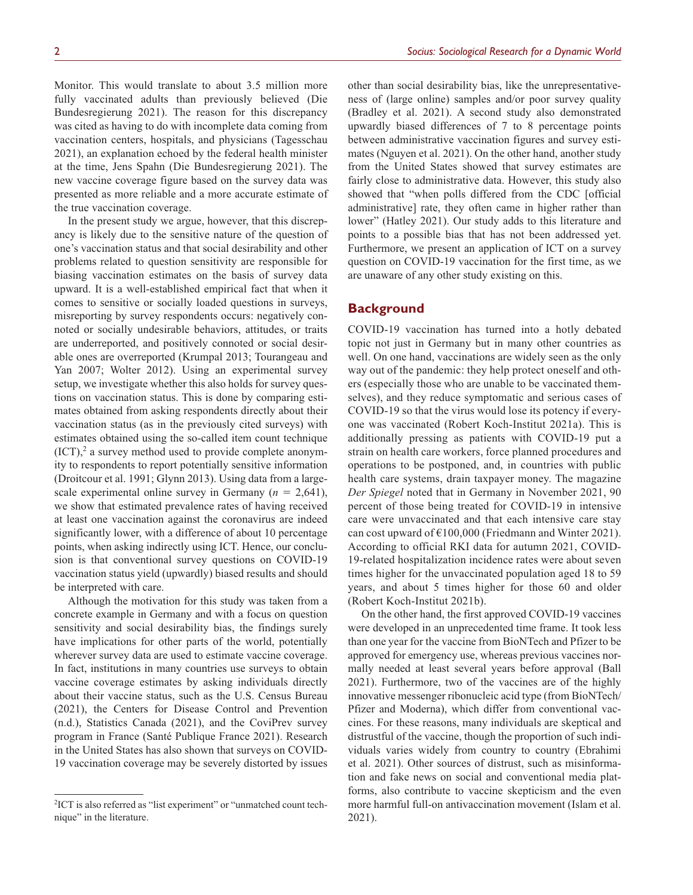Monitor. This would translate to about 3.5 million more fully vaccinated adults than previously believed (Die Bundesregierung 2021). The reason for this discrepancy was cited as having to do with incomplete data coming from vaccination centers, hospitals, and physicians (Tagesschau 2021), an explanation echoed by the federal health minister at the time, Jens Spahn (Die Bundesregierung 2021). The new vaccine coverage figure based on the survey data was presented as more reliable and a more accurate estimate of the true vaccination coverage.

In the present study we argue, however, that this discrepancy is likely due to the sensitive nature of the question of one's vaccination status and that social desirability and other problems related to question sensitivity are responsible for biasing vaccination estimates on the basis of survey data upward. It is a well-established empirical fact that when it comes to sensitive or socially loaded questions in surveys, misreporting by survey respondents occurs: negatively connoted or socially undesirable behaviors, attitudes, or traits are underreported, and positively connoted or social desirable ones are overreported (Krumpal 2013; Tourangeau and Yan 2007; Wolter 2012). Using an experimental survey setup, we investigate whether this also holds for survey questions on vaccination status. This is done by comparing estimates obtained from asking respondents directly about their vaccination status (as in the previously cited surveys) with estimates obtained using the so-called item count technique  $(ICT),$ <sup>2</sup> a survey method used to provide complete anonymity to respondents to report potentially sensitive information (Droitcour et al. 1991; Glynn 2013). Using data from a largescale experimental online survey in Germany  $(n = 2,641)$ , we show that estimated prevalence rates of having received at least one vaccination against the coronavirus are indeed significantly lower, with a difference of about 10 percentage points, when asking indirectly using ICT. Hence, our conclusion is that conventional survey questions on COVID-19 vaccination status yield (upwardly) biased results and should be interpreted with care.

Although the motivation for this study was taken from a concrete example in Germany and with a focus on question sensitivity and social desirability bias, the findings surely have implications for other parts of the world, potentially wherever survey data are used to estimate vaccine coverage. In fact, institutions in many countries use surveys to obtain vaccine coverage estimates by asking individuals directly about their vaccine status, such as the U.S. Census Bureau (2021), the Centers for Disease Control and Prevention (n.d.), Statistics Canada (2021), and the CoviPrev survey program in France (Santé Publique France 2021). Research in the United States has also shown that surveys on COVID-19 vaccination coverage may be severely distorted by issues other than social desirability bias, like the unrepresentativeness of (large online) samples and/or poor survey quality (Bradley et al. 2021). A second study also demonstrated upwardly biased differences of 7 to 8 percentage points between administrative vaccination figures and survey estimates (Nguyen et al. 2021). On the other hand, another study from the United States showed that survey estimates are fairly close to administrative data. However, this study also showed that "when polls differed from the CDC [official administrative] rate, they often came in higher rather than lower" (Hatley 2021). Our study adds to this literature and points to a possible bias that has not been addressed yet. Furthermore, we present an application of ICT on a survey question on COVID-19 vaccination for the first time, as we are unaware of any other study existing on this.

# **Background**

COVID-19 vaccination has turned into a hotly debated topic not just in Germany but in many other countries as well. On one hand, vaccinations are widely seen as the only way out of the pandemic: they help protect oneself and others (especially those who are unable to be vaccinated themselves), and they reduce symptomatic and serious cases of COVID-19 so that the virus would lose its potency if everyone was vaccinated (Robert Koch-Institut 2021a). This is additionally pressing as patients with COVID-19 put a strain on health care workers, force planned procedures and operations to be postponed, and, in countries with public health care systems, drain taxpayer money. The magazine *Der Spiegel* noted that in Germany in November 2021, 90 percent of those being treated for COVID-19 in intensive care were unvaccinated and that each intensive care stay can cost upward of €100,000 (Friedmann and Winter 2021). According to official RKI data for autumn 2021, COVID-19-related hospitalization incidence rates were about seven times higher for the unvaccinated population aged 18 to 59 years, and about 5 times higher for those 60 and older (Robert Koch-Institut 2021b).

On the other hand, the first approved COVID-19 vaccines were developed in an unprecedented time frame. It took less than one year for the vaccine from BioNTech and Pfizer to be approved for emergency use, whereas previous vaccines normally needed at least several years before approval (Ball 2021). Furthermore, two of the vaccines are of the highly innovative messenger ribonucleic acid type (from BioNTech/ Pfizer and Moderna), which differ from conventional vaccines. For these reasons, many individuals are skeptical and distrustful of the vaccine, though the proportion of such individuals varies widely from country to country (Ebrahimi et al. 2021). Other sources of distrust, such as misinformation and fake news on social and conventional media platforms, also contribute to vaccine skepticism and the even more harmful full-on antivaccination movement (Islam et al. 2021).

<sup>2</sup> ICT is also referred as "list experiment" or "unmatched count technique" in the literature.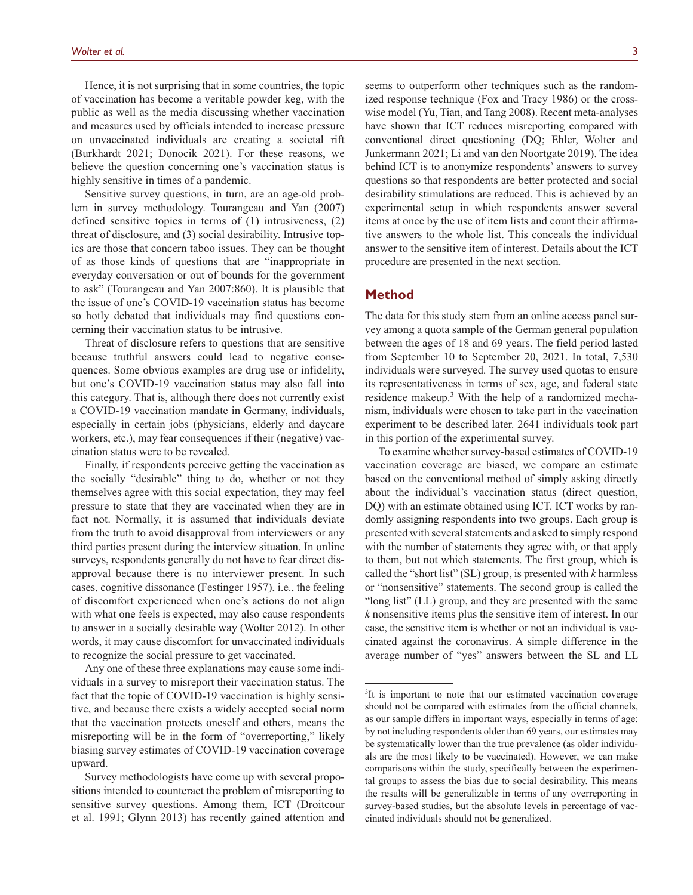Hence, it is not surprising that in some countries, the topic of vaccination has become a veritable powder keg, with the public as well as the media discussing whether vaccination and measures used by officials intended to increase pressure on unvaccinated individuals are creating a societal rift (Burkhardt 2021; Donocik 2021). For these reasons, we believe the question concerning one's vaccination status is highly sensitive in times of a pandemic.

Sensitive survey questions, in turn, are an age-old problem in survey methodology. Tourangeau and Yan (2007) defined sensitive topics in terms of (1) intrusiveness, (2) threat of disclosure, and (3) social desirability. Intrusive topics are those that concern taboo issues. They can be thought of as those kinds of questions that are "inappropriate in everyday conversation or out of bounds for the government to ask" (Tourangeau and Yan 2007:860). It is plausible that the issue of one's COVID-19 vaccination status has become so hotly debated that individuals may find questions concerning their vaccination status to be intrusive.

Threat of disclosure refers to questions that are sensitive because truthful answers could lead to negative consequences. Some obvious examples are drug use or infidelity, but one's COVID-19 vaccination status may also fall into this category. That is, although there does not currently exist a COVID-19 vaccination mandate in Germany, individuals, especially in certain jobs (physicians, elderly and daycare workers, etc.), may fear consequences if their (negative) vaccination status were to be revealed.

Finally, if respondents perceive getting the vaccination as the socially "desirable" thing to do, whether or not they themselves agree with this social expectation, they may feel pressure to state that they are vaccinated when they are in fact not. Normally, it is assumed that individuals deviate from the truth to avoid disapproval from interviewers or any third parties present during the interview situation. In online surveys, respondents generally do not have to fear direct disapproval because there is no interviewer present. In such cases, cognitive dissonance (Festinger 1957), i.e., the feeling of discomfort experienced when one's actions do not align with what one feels is expected, may also cause respondents to answer in a socially desirable way (Wolter 2012). In other words, it may cause discomfort for unvaccinated individuals to recognize the social pressure to get vaccinated.

Any one of these three explanations may cause some individuals in a survey to misreport their vaccination status. The fact that the topic of COVID-19 vaccination is highly sensitive, and because there exists a widely accepted social norm that the vaccination protects oneself and others, means the misreporting will be in the form of "overreporting," likely biasing survey estimates of COVID-19 vaccination coverage upward.

Survey methodologists have come up with several propositions intended to counteract the problem of misreporting to sensitive survey questions. Among them, ICT (Droitcour et al. 1991; Glynn 2013) has recently gained attention and

seems to outperform other techniques such as the randomized response technique (Fox and Tracy 1986) or the crosswise model (Yu, Tian, and Tang 2008). Recent meta-analyses have shown that ICT reduces misreporting compared with conventional direct questioning (DQ; Ehler, Wolter and Junkermann 2021; Li and van den Noortgate 2019). The idea behind ICT is to anonymize respondents' answers to survey questions so that respondents are better protected and social desirability stimulations are reduced. This is achieved by an experimental setup in which respondents answer several items at once by the use of item lists and count their affirmative answers to the whole list. This conceals the individual answer to the sensitive item of interest. Details about the ICT procedure are presented in the next section.

### **Method**

The data for this study stem from an online access panel survey among a quota sample of the German general population between the ages of 18 and 69 years. The field period lasted from September 10 to September 20, 2021. In total, 7,530 individuals were surveyed. The survey used quotas to ensure its representativeness in terms of sex, age, and federal state residence makeup.<sup>3</sup> With the help of a randomized mechanism, individuals were chosen to take part in the vaccination experiment to be described later. 2641 individuals took part in this portion of the experimental survey.

To examine whether survey-based estimates of COVID-19 vaccination coverage are biased, we compare an estimate based on the conventional method of simply asking directly about the individual's vaccination status (direct question, DQ) with an estimate obtained using ICT. ICT works by randomly assigning respondents into two groups. Each group is presented with several statements and asked to simply respond with the number of statements they agree with, or that apply to them, but not which statements. The first group, which is called the "short list" (SL) group, is presented with *k* harmless or "nonsensitive" statements. The second group is called the "long list" (LL) group, and they are presented with the same *k* nonsensitive items plus the sensitive item of interest. In our case, the sensitive item is whether or not an individual is vaccinated against the coronavirus. A simple difference in the average number of "yes" answers between the SL and LL

<sup>&</sup>lt;sup>3</sup>It is important to note that our estimated vaccination coverage should not be compared with estimates from the official channels, as our sample differs in important ways, especially in terms of age: by not including respondents older than 69 years, our estimates may be systematically lower than the true prevalence (as older individuals are the most likely to be vaccinated). However, we can make comparisons within the study, specifically between the experimental groups to assess the bias due to social desirability. This means the results will be generalizable in terms of any overreporting in survey-based studies, but the absolute levels in percentage of vaccinated individuals should not be generalized.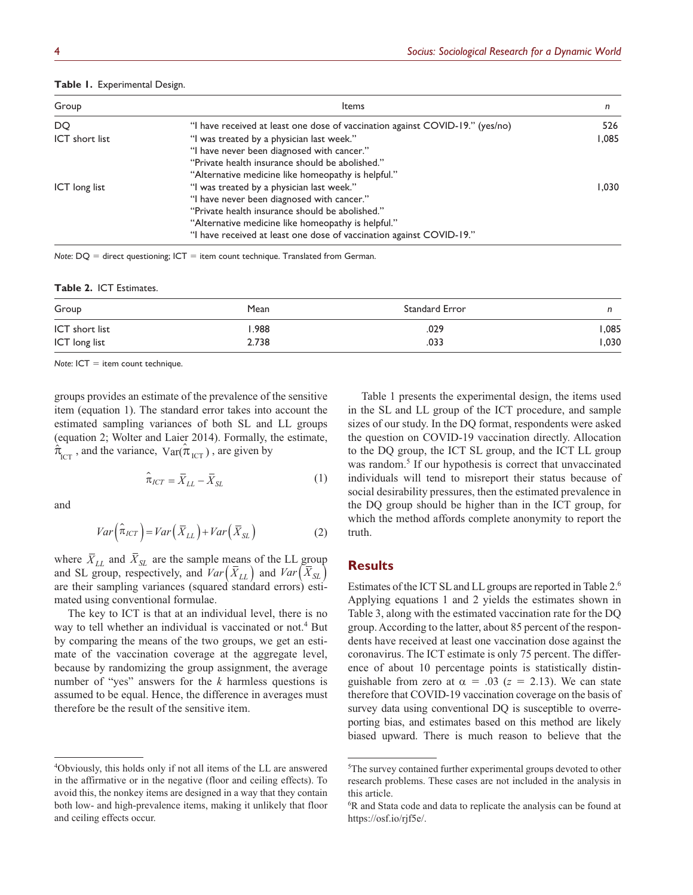| Group                 | Items                                                                         | n     |
|-----------------------|-------------------------------------------------------------------------------|-------|
| DO                    | "I have received at least one dose of vaccination against COVID-19." (yes/no) | 526   |
| <b>ICT</b> short list | "I was treated by a physician last week."                                     | 1.085 |
|                       | "I have never been diagnosed with cancer."                                    |       |
|                       | "Private health insurance should be abolished."                               |       |
|                       | "Alternative medicine like homeopathy is helpful."                            |       |
| ICT long list         | "I was treated by a physician last week."                                     | 1.030 |
|                       | "I have never been diagnosed with cancer."                                    |       |
|                       | "Private health insurance should be abolished."                               |       |
|                       | "Alternative medicine like homeopathy is helpful."                            |       |
|                       | "I have received at least one dose of vaccination against COVID-19."          |       |
|                       |                                                                               |       |

### **Table 1.** Experimental Design.

*Note*: DQ = direct questioning; ICT = item count technique. Translated from German.

#### **Table 2.** ICT Estimates.

| Group                                                                        | Mean  | Standard Error |       |  |
|------------------------------------------------------------------------------|-------|----------------|-------|--|
| ICT short list                                                               | .988  | .029           | 1,085 |  |
| ICT long list<br>the control of the control of the control of the control of | 2.738 | .033           | 1,030 |  |

*Note*: ICT = item count technique.

groups provides an estimate of the prevalence of the sensitive item (equation 1). The standard error takes into account the estimated sampling variances of both SL and LL groups (equation 2; Wolter and Laier 2014). Formally, the estimate,  $\hat{\pi}_{\text{ICT}}$ , and the variance,  $\text{Var}(\hat{\pi}_{\text{ICT}})$ , are given by

$$
\hat{\pi}_{ICT} = \overline{X}_{LL} - \overline{X}_{SL}
$$
 (1)

and

$$
Var\left(\hat{\pi}_{ICT}\right) = Var\left(\bar{X}_{LL}\right) + Var\left(\bar{X}_{SL}\right) \tag{2}
$$

where  $\bar{X}_{LL}$  and  $\bar{X}_{SL}$  are the sample means of the LL group and SL group, respectively, and  $Var\left(\bar{X}_{LL}\right)$  and  $Var\left(\bar{X}_{SL}\right)$ are their sampling variances (squared standard errors) estimated using conventional formulae.

The key to ICT is that at an individual level, there is no way to tell whether an individual is vaccinated or not.<sup>4</sup> But by comparing the means of the two groups, we get an estimate of the vaccination coverage at the aggregate level, because by randomizing the group assignment, the average number of "yes" answers for the *k* harmless questions is assumed to be equal. Hence, the difference in averages must therefore be the result of the sensitive item.

Table 1 presents the experimental design, the items used in the SL and LL group of the ICT procedure, and sample sizes of our study. In the DQ format, respondents were asked the question on COVID-19 vaccination directly. Allocation to the DQ group, the ICT SL group, and the ICT LL group was random.<sup>5</sup> If our hypothesis is correct that unvaccinated individuals will tend to misreport their status because of social desirability pressures, then the estimated prevalence in the DQ group should be higher than in the ICT group, for which the method affords complete anonymity to report the truth.

# **Results**

Estimates of the ICT SL and LL groups are reported in Table 2.<sup>6</sup> Applying equations 1 and 2 yields the estimates shown in Table 3, along with the estimated vaccination rate for the DQ group. According to the latter, about 85 percent of the respondents have received at least one vaccination dose against the coronavirus. The ICT estimate is only 75 percent. The difference of about 10 percentage points is statistically distinguishable from zero at  $\alpha = .03$  ( $z = 2.13$ ). We can state therefore that COVID-19 vaccination coverage on the basis of survey data using conventional DQ is susceptible to overreporting bias, and estimates based on this method are likely biased upward. There is much reason to believe that the

<sup>4</sup> Obviously, this holds only if not all items of the LL are answered in the affirmative or in the negative (floor and ceiling effects). To avoid this, the nonkey items are designed in a way that they contain both low- and high-prevalence items, making it unlikely that floor and ceiling effects occur.

<sup>5</sup> The survey contained further experimental groups devoted to other research problems. These cases are not included in the analysis in this article.

<sup>6</sup> R and Stata code and data to replicate the analysis can be found at [https://osf.io/rjf5e/.](https://osf.io/rjf5e/)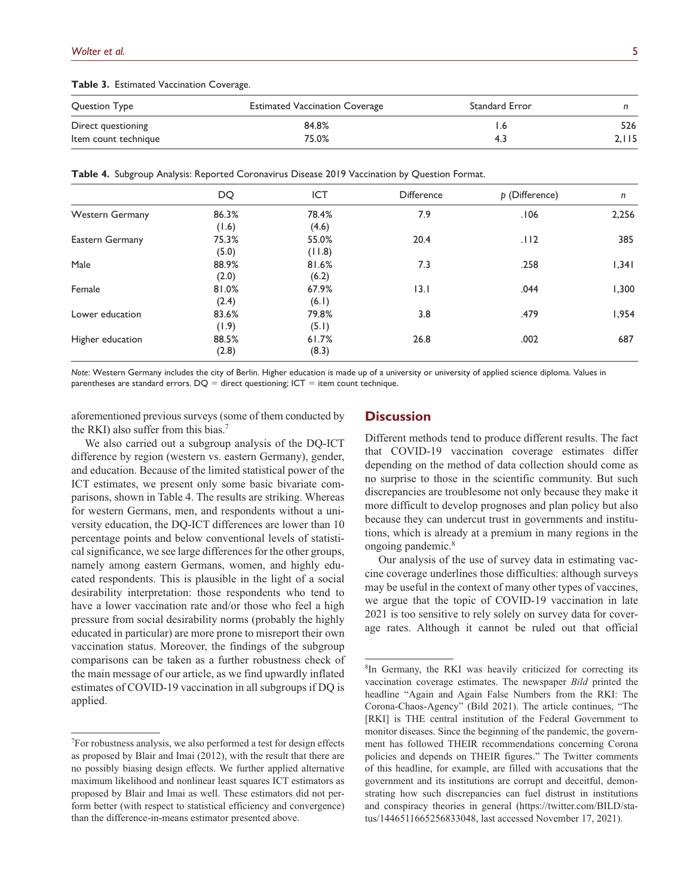| Question Type        | <b>Estimated Vaccination Coverage</b> | Standard Error |       |  |
|----------------------|---------------------------------------|----------------|-------|--|
| Direct questioning   | 84.8%                                 |                | 526   |  |
| Item count technique | 75.0%                                 | 4.3            | 2,115 |  |

**Table 3.** Estimated Vaccination Coverage.

**Table 4.** Subgroup Analysis: Reported Coronavirus Disease 2019 Vaccination by Question Format.

|                        | DQ    | ICT    | <b>Difference</b> | $p$ (Difference) | n     |
|------------------------|-------|--------|-------------------|------------------|-------|
| <b>Western Germany</b> | 86.3% | 78.4%  | 7.9               | .106             | 2,256 |
|                        | (1.6) | (4.6)  |                   |                  |       |
| Eastern Germany        | 75.3% | 55.0%  | 20.4              | .112             | 385   |
|                        | (5.0) | (11.8) |                   |                  |       |
| Male                   | 88.9% | 81.6%  | 7.3               | .258             | 1,341 |
|                        | (2.0) | (6.2)  |                   |                  |       |
| Female                 | 81.0% | 67.9%  | I 3. I            | .044             | 1,300 |
|                        | (2.4) | (6.1)  |                   |                  |       |
| Lower education        | 83.6% | 79.8%  | 3.8               | .479             | 1,954 |
|                        | (1.9) | (5.1)  |                   |                  |       |
| Higher education       | 88.5% | 61.7%  | 26.8              | .002             | 687   |
|                        | (2.8) | (8.3)  |                   |                  |       |

*Note*: Western Germany includes the city of Berlin. Higher education is made up of a university or university of applied science diploma. Values in parentheses are standard errors.  $DQ =$  direct questioning; ICT = item count technique.

aforementioned previous surveys (some of them conducted by the RKI) also suffer from this bias.<sup>7</sup>

We also carried out a subgroup analysis of the DQ-ICT difference by region (western vs. eastern Germany), gender, and education. Because of the limited statistical power of the ICT estimates, we present only some basic bivariate comparisons, shown in Table 4. The results are striking. Whereas for western Germans, men, and respondents without a university education, the DQ-ICT differences are lower than 10 percentage points and below conventional levels of statistical significance, we see large differences for the other groups, namely among eastern Germans, women, and highly educated respondents. This is plausible in the light of a social desirability interpretation: those respondents who tend to have a lower vaccination rate and/or those who feel a high pressure from social desirability norms (probably the highly educated in particular) are more prone to misreport their own vaccination status. Moreover, the findings of the subgroup comparisons can be taken as a further robustness check of the main message of our article, as we find upwardly inflated estimates of COVID-19 vaccination in all subgroups if DQ is applied.

# **Discussion**

Different methods tend to produce different results. The fact that COVID-19 vaccination coverage estimates differ depending on the method of data collection should come as no surprise to those in the scientific community. But such discrepancies are troublesome not only because they make it more difficult to develop prognoses and plan policy but also because they can undercut trust in governments and institutions, which is already at a premium in many regions in the ongoing pandemic.<sup>8</sup>

Our analysis of the use of survey data in estimating vaccine coverage underlines those difficulties: although surveys may be useful in the context of many other types of vaccines, we argue that the topic of COVID-19 vaccination in late 2021 is too sensitive to rely solely on survey data for coverage rates. Although it cannot be ruled out that official

<sup>&</sup>lt;sup>7</sup>For robustness analysis, we also performed a test for design effects as proposed by Blair and Imai (2012), with the result that there are no possibly biasing design effects. We further applied alternative maximum likelihood and nonlinear least squares ICT estimators as proposed by Blair and Imai as well. These estimators did not perform better (with respect to statistical efficiency and convergence) than the difference-in-means estimator presented above.

<sup>8</sup> In Germany, the RKI was heavily criticized for correcting its vaccination coverage estimates. The newspaper *Bild* printed the headline "Again and Again False Numbers from the RKI: The Corona-Chaos-Agency" (Bild 2021). The article continues, "The [RKI] is THE central institution of the Federal Government to monitor diseases. Since the beginning of the pandemic, the government has followed THEIR recommendations concerning Corona policies and depends on THEIR figures." The Twitter comments of this headline, for example, are filled with accusations that the government and its institutions are corrupt and deceitful, demonstrating how such discrepancies can fuel distrust in institutions and conspiracy theories in general [\(https://twitter.com/BILD/sta](https://twitter.com/BILD/status/1446511665256833048)[tus/1446511665256833048,](https://twitter.com/BILD/status/1446511665256833048) last accessed November 17, 2021).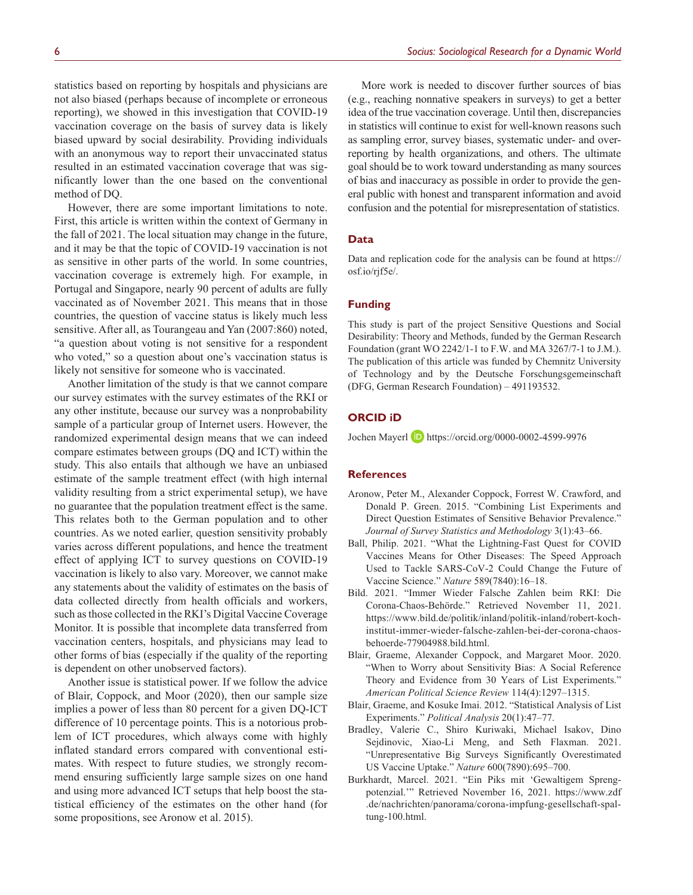statistics based on reporting by hospitals and physicians are not also biased (perhaps because of incomplete or erroneous reporting), we showed in this investigation that COVID-19 vaccination coverage on the basis of survey data is likely biased upward by social desirability. Providing individuals with an anonymous way to report their unvaccinated status resulted in an estimated vaccination coverage that was significantly lower than the one based on the conventional method of DQ.

However, there are some important limitations to note. First, this article is written within the context of Germany in the fall of 2021. The local situation may change in the future, and it may be that the topic of COVID-19 vaccination is not as sensitive in other parts of the world. In some countries, vaccination coverage is extremely high. For example, in Portugal and Singapore, nearly 90 percent of adults are fully vaccinated as of November 2021. This means that in those countries, the question of vaccine status is likely much less sensitive. After all, as Tourangeau and Yan (2007:860) noted, "a question about voting is not sensitive for a respondent who voted," so a question about one's vaccination status is likely not sensitive for someone who is vaccinated.

Another limitation of the study is that we cannot compare our survey estimates with the survey estimates of the RKI or any other institute, because our survey was a nonprobability sample of a particular group of Internet users. However, the randomized experimental design means that we can indeed compare estimates between groups (DQ and ICT) within the study. This also entails that although we have an unbiased estimate of the sample treatment effect (with high internal validity resulting from a strict experimental setup), we have no guarantee that the population treatment effect is the same. This relates both to the German population and to other countries. As we noted earlier, question sensitivity probably varies across different populations, and hence the treatment effect of applying ICT to survey questions on COVID-19 vaccination is likely to also vary. Moreover, we cannot make any statements about the validity of estimates on the basis of data collected directly from health officials and workers, such as those collected in the RKI's Digital Vaccine Coverage Monitor. It is possible that incomplete data transferred from vaccination centers, hospitals, and physicians may lead to other forms of bias (especially if the quality of the reporting is dependent on other unobserved factors).

Another issue is statistical power. If we follow the advice of Blair, Coppock, and Moor (2020), then our sample size implies a power of less than 80 percent for a given DQ-ICT difference of 10 percentage points. This is a notorious problem of ICT procedures, which always come with highly inflated standard errors compared with conventional estimates. With respect to future studies, we strongly recommend ensuring sufficiently large sample sizes on one hand and using more advanced ICT setups that help boost the statistical efficiency of the estimates on the other hand (for some propositions, see Aronow et al. 2015).

More work is needed to discover further sources of bias (e.g., reaching nonnative speakers in surveys) to get a better idea of the true vaccination coverage. Until then, discrepancies in statistics will continue to exist for well-known reasons such as sampling error, survey biases, systematic under- and overreporting by health organizations, and others. The ultimate goal should be to work toward understanding as many sources of bias and inaccuracy as possible in order to provide the general public with honest and transparent information and avoid confusion and the potential for misrepresentation of statistics.

### **Data**

Data and replication code for the analysis can be found at [https://](https://osf.io/rjf5e/) [osf.io/rjf5e/.](https://osf.io/rjf5e/)

# **Funding**

This study is part of the project Sensitive Questions and Social Desirability: Theory and Methods, funded by the German Research Foundation (grant WO 2242/1-1 to F.W. and MA 3267/7-1 to J.M.). The publication of this article was funded by Chemnitz University of Technology and by the Deutsche Forschungsgemeinschaft (DFG, German Research Foundation) – 491193532.

### **ORCID iD**

Jochen Mayerl **D** <https://orcid.org/0000-0002-4599-9976>

#### **References**

- Aronow, Peter M., Alexander Coppock, Forrest W. Crawford, and Donald P. Green. 2015. "Combining List Experiments and Direct Question Estimates of Sensitive Behavior Prevalence." *Journal of Survey Statistics and Methodology* 3(1):43–66.
- Ball, Philip. 2021. "What the Lightning-Fast Quest for COVID Vaccines Means for Other Diseases: The Speed Approach Used to Tackle SARS-CoV-2 Could Change the Future of Vaccine Science." *Nature* 589(7840):16–18.
- Bild. 2021. "Immer Wieder Falsche Zahlen beim RKI: Die Corona-Chaos-Behörde." Retrieved November 11, 2021. [https://www.bild.de/politik/inland/politik-inland/robert-koch](https://www.bild.de/politik/inland/politik-inland/robert-koch-institut-immer-wieder-falsche-zahlen-bei-der-corona-chaos-behoerde-77904988.bild.html)[institut-immer-wieder-falsche-zahlen-bei-der-corona-chaos](https://www.bild.de/politik/inland/politik-inland/robert-koch-institut-immer-wieder-falsche-zahlen-bei-der-corona-chaos-behoerde-77904988.bild.html)[behoerde-77904988.bild.html](https://www.bild.de/politik/inland/politik-inland/robert-koch-institut-immer-wieder-falsche-zahlen-bei-der-corona-chaos-behoerde-77904988.bild.html).
- Blair, Graeme, Alexander Coppock, and Margaret Moor. 2020. "When to Worry about Sensitivity Bias: A Social Reference Theory and Evidence from 30 Years of List Experiments." *American Political Science Review* 114(4):1297–1315.
- Blair, Graeme, and Kosuke Imai. 2012. "Statistical Analysis of List Experiments." *Political Analysis* 20(1):47–77.
- Bradley, Valerie C., Shiro Kuriwaki, Michael Isakov, Dino Sejdinovic, Xiao-Li Meng, and Seth Flaxman. 2021. "Unrepresentative Big Surveys Significantly Overestimated US Vaccine Uptake." *Nature* 600(7890):695–700.
- Burkhardt, Marcel. 2021. "Ein Piks mit 'Gewaltigem Sprengpotenzial.'" Retrieved November 16, 2021. [https://www.zdf](https://www.zdf.de/nachrichten/panorama/corona-impfung-gesellschaft-spaltung-100.html) [.de/nachrichten/panorama/corona-impfung-gesellschaft-spal](https://www.zdf.de/nachrichten/panorama/corona-impfung-gesellschaft-spaltung-100.html)[tung-100.html.](https://www.zdf.de/nachrichten/panorama/corona-impfung-gesellschaft-spaltung-100.html)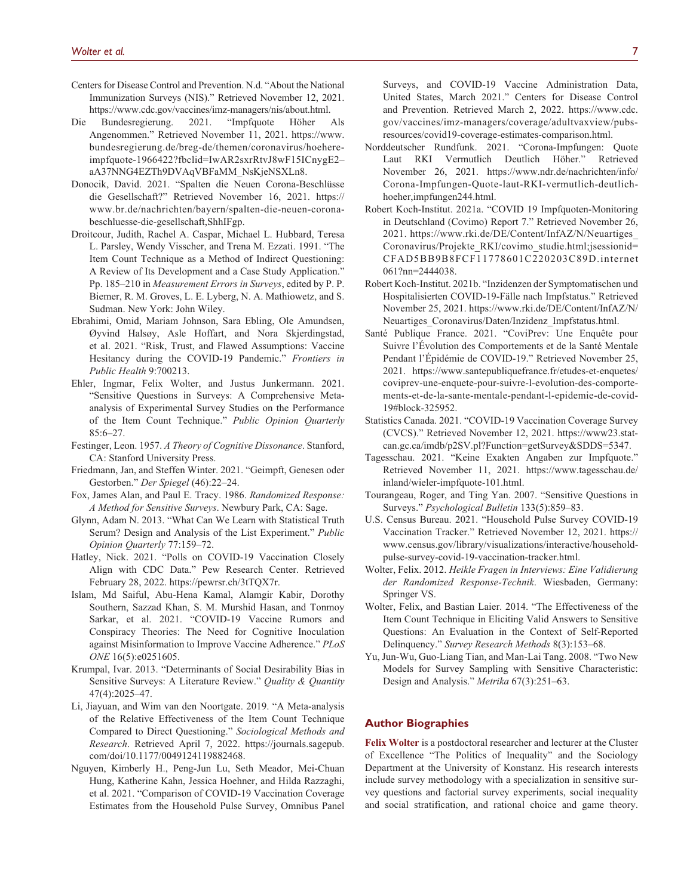- Centers for Disease Control and Prevention. N.d. "About the National Immunization Surveys (NIS)." Retrieved November 12, 2021. <https://www.cdc.gov/vaccines/imz-managers/nis/about.html>.
- Die Bundesregierung. 2021. "Impfquote Höher Als Angenommen." Retrieved November 11, 2021. [https://www.](https://www.bundesregierung.de/breg-de/themen/coronavirus/hoehere-impfquote-1966422?fbclid=IwAR2sxrRtvJ8wF15ICnygE2) [bundesregierung.de/breg-de/themen/coronavirus/hoehere](https://www.bundesregierung.de/breg-de/themen/coronavirus/hoehere-impfquote-1966422?fbclid=IwAR2sxrRtvJ8wF15ICnygE2)[impfquote-1966422?fbclid=IwAR2sxrRtvJ8wF15ICnygE2](https://www.bundesregierung.de/breg-de/themen/coronavirus/hoehere-impfquote-1966422?fbclid=IwAR2sxrRtvJ8wF15ICnygE2)– aA37NNG4EZTh9DVAqVBFaMM\_NsKjeNSXLn8.
- Donocik, David. 2021. "Spalten die Neuen Corona-Beschlüsse die Gesellschaft?" Retrieved November 16, 2021. [https://](https://www.br.de/nachrichten/bayern/spalten-die-neuen-corona-beschluesse-die-gesellschaft,ShhIFgp) [www.br.de/nachrichten/bayern/spalten-die-neuen-corona](https://www.br.de/nachrichten/bayern/spalten-die-neuen-corona-beschluesse-die-gesellschaft,ShhIFgp)[beschluesse-die-gesellschaft,ShhIFgp](https://www.br.de/nachrichten/bayern/spalten-die-neuen-corona-beschluesse-die-gesellschaft,ShhIFgp).
- Droitcour, Judith, Rachel A. Caspar, Michael L. Hubbard, Teresa L. Parsley, Wendy Visscher, and Trena M. Ezzati. 1991. "The Item Count Technique as a Method of Indirect Questioning: A Review of Its Development and a Case Study Application." Pp. 185–210 in *Measurement Errors in Surveys*, edited by P. P. Biemer, R. M. Groves, L. E. Lyberg, N. A. Mathiowetz, and S. Sudman. New York: John Wiley.
- Ebrahimi, Omid, Mariam Johnson, Sara Ebling, Ole Amundsen, Øyvind Halsøy, Asle Hoffart, and Nora Skjerdingstad, et al. 2021. "Risk, Trust, and Flawed Assumptions: Vaccine Hesitancy during the COVID-19 Pandemic." *Frontiers in Public Health* 9:700213.
- Ehler, Ingmar, Felix Wolter, and Justus Junkermann. 2021. "Sensitive Questions in Surveys: A Comprehensive Metaanalysis of Experimental Survey Studies on the Performance of the Item Count Technique." *Public Opinion Quarterly*  $85:6 - 27$ .
- Festinger, Leon. 1957. *A Theory of Cognitive Dissonance*. Stanford, CA: Stanford University Press.
- Friedmann, Jan, and Steffen Winter. 2021. "Geimpft, Genesen oder Gestorben." *Der Spiegel* (46):22–24.
- Fox, James Alan, and Paul E. Tracy. 1986. *Randomized Response: A Method for Sensitive Surveys*. Newbury Park, CA: Sage.
- Glynn, Adam N. 2013. "What Can We Learn with Statistical Truth Serum? Design and Analysis of the List Experiment." *Public Opinion Quarterly* 77:159–72.
- Hatley, Nick. 2021. "Polls on COVID-19 Vaccination Closely Align with CDC Data." Pew Research Center. Retrieved February 28, 2022. <https://pewrsr.ch/3tTQX7r>.
- Islam, Md Saiful, Abu-Hena Kamal, Alamgir Kabir, Dorothy Southern, Sazzad Khan, S. M. Murshid Hasan, and Tonmoy Sarkar, et al. 2021. "COVID-19 Vaccine Rumors and Conspiracy Theories: The Need for Cognitive Inoculation against Misinformation to Improve Vaccine Adherence." *PLoS ONE* 16(5):e0251605.
- Krumpal, Ivar. 2013. "Determinants of Social Desirability Bias in Sensitive Surveys: A Literature Review." *Quality & Quantity* 47(4):2025–47.
- Li, Jiayuan, and Wim van den Noortgate. 2019. "A Meta-analysis of the Relative Effectiveness of the Item Count Technique Compared to Direct Questioning." *Sociological Methods and Research*. Retrieved April 7, 2022. [https://journals.sagepub.](https://journals.sagepub.com/doi/10.1177/0049124119882468) [com/doi/10.1177/0049124119882468.](https://journals.sagepub.com/doi/10.1177/0049124119882468)
- Nguyen, Kimberly H., Peng-Jun Lu, Seth Meador, Mei-Chuan Hung, Katherine Kahn, Jessica Hoehner, and Hilda Razzaghi, et al. 2021. "Comparison of COVID-19 Vaccination Coverage Estimates from the Household Pulse Survey, Omnibus Panel

Surveys, and COVID-19 Vaccine Administration Data, United States, March 2021." Centers for Disease Control and Prevention. Retrieved March 2, 2022. [https://www.cdc.](https://www.cdc.gov/vaccines/imz-managers/coverage/adultvaxview/pubs-resources/covid19-coverage-estimates-comparison.html) [gov/vaccines/imz-managers/coverage/adultvaxview/pubs](https://www.cdc.gov/vaccines/imz-managers/coverage/adultvaxview/pubs-resources/covid19-coverage-estimates-comparison.html)[resources/covid19-coverage-estimates-comparison.html.](https://www.cdc.gov/vaccines/imz-managers/coverage/adultvaxview/pubs-resources/covid19-coverage-estimates-comparison.html)

- Norddeutscher Rundfunk. 2021. "Corona-Impfungen: Quote Laut RKI Vermutlich Deutlich Höher." Retrieved November 26, 2021. [https://www.ndr.de/nachrichten/info/](https://www.ndr.de/nachrichten/info/Corona-Impfungen-Quote-laut-RKI-vermutlich-deutlich-hoeher,impfungen244.html) [Corona-Impfungen-Quote-laut-RKI-vermutlich-deutlich](https://www.ndr.de/nachrichten/info/Corona-Impfungen-Quote-laut-RKI-vermutlich-deutlich-hoeher,impfungen244.html)[hoeher,impfungen244.html](https://www.ndr.de/nachrichten/info/Corona-Impfungen-Quote-laut-RKI-vermutlich-deutlich-hoeher,impfungen244.html).
- Robert Koch-Institut. 2021a. "COVID 19 Impfquoten-Monitoring in Deutschland (Covimo) Report 7." Retrieved November 26, 2021. [https://www.rki.de/DE/Content/InfAZ/N/Neuartiges\\_](https://www.rki.de/DE/Content/InfAZ/N/Neuartiges_Coronavirus/Projekte_RKI/covimo_studie.html;jsessionid=CFAD5BB9B8FCF11778601C220203C89D.internet061?nn=2444038) [Coronavirus/Projekte\\_RKI/covimo\\_studie.html;jsessionid=](https://www.rki.de/DE/Content/InfAZ/N/Neuartiges_Coronavirus/Projekte_RKI/covimo_studie.html;jsessionid=CFAD5BB9B8FCF11778601C220203C89D.internet061?nn=2444038) [CFAD5BB9B8FCF11778601C220203C89D.internet](https://www.rki.de/DE/Content/InfAZ/N/Neuartiges_Coronavirus/Projekte_RKI/covimo_studie.html;jsessionid=CFAD5BB9B8FCF11778601C220203C89D.internet061?nn=2444038) [061?nn=2444038.](https://www.rki.de/DE/Content/InfAZ/N/Neuartiges_Coronavirus/Projekte_RKI/covimo_studie.html;jsessionid=CFAD5BB9B8FCF11778601C220203C89D.internet061?nn=2444038)
- Robert Koch-Institut. 2021b. "Inzidenzen der Symptomatischen und Hospitalisierten COVID-19-Fälle nach Impfstatus." Retrieved November 25, 2021. [https://www.rki.de/DE/Content/InfAZ/N/](https://www.rki.de/DE/Content/InfAZ/N/Neuartiges_Coronavirus/Daten/Inzidenz_Impfstatus.html) [Neuartiges\\_Coronavirus/Daten/Inzidenz\\_Impfstatus.html](https://www.rki.de/DE/Content/InfAZ/N/Neuartiges_Coronavirus/Daten/Inzidenz_Impfstatus.html).
- Santé Publique France. 2021. "CoviPrev: Une Enquête pour Suivre l'Évolution des Comportements et de la Santé Mentale Pendant l'Épidémie de COVID-19." Retrieved November 25, 2021. [https://www.santepubliquefrance.fr/etudes-et-enquetes/](https://www.santepubliquefrance.fr/etudes-et-enquetes/coviprev-une-enquete-pour-suivre-l-evolution-des-comportements-et-de-la-sante-mentale-pendant-l-epidemie-de-covid-19#block-325952) [coviprev-une-enquete-pour-suivre-l-evolution-des-comporte](https://www.santepubliquefrance.fr/etudes-et-enquetes/coviprev-une-enquete-pour-suivre-l-evolution-des-comportements-et-de-la-sante-mentale-pendant-l-epidemie-de-covid-19#block-325952)[ments-et-de-la-sante-mentale-pendant-l-epidemie-de-covid-](https://www.santepubliquefrance.fr/etudes-et-enquetes/coviprev-une-enquete-pour-suivre-l-evolution-des-comportements-et-de-la-sante-mentale-pendant-l-epidemie-de-covid-19#block-325952)[19#block-325952.](https://www.santepubliquefrance.fr/etudes-et-enquetes/coviprev-une-enquete-pour-suivre-l-evolution-des-comportements-et-de-la-sante-mentale-pendant-l-epidemie-de-covid-19#block-325952)
- Statistics Canada. 2021. "COVID-19 Vaccination Coverage Survey (CVCS)." Retrieved November 12, 2021. [https://www23.stat](https://www23.statcan.gc.ca/imdb/p2SV.pl?Function=getSurvey&SDDS=5347)[can.gc.ca/imdb/p2SV.pl?Function=getSurvey&SDDS=5347.](https://www23.statcan.gc.ca/imdb/p2SV.pl?Function=getSurvey&SDDS=5347)
- Tagesschau. 2021. "Keine Exakten Angaben zur Impfquote." Retrieved November 11, 2021. [https://www.tagesschau.de/](https://www.tagesschau.de/inland/wieler-impfquote-101.html) [inland/wieler-impfquote-101.html](https://www.tagesschau.de/inland/wieler-impfquote-101.html).
- Tourangeau, Roger, and Ting Yan. 2007. "Sensitive Questions in Surveys." *Psychological Bulletin* 133(5):859–83.
- U.S. Census Bureau. 2021. "Household Pulse Survey COVID-19 Vaccination Tracker." Retrieved November 12, 2021. [https://](https://www.census.gov/library/visualizations/interactive/household-pulse-survey-covid-19-vaccination-tracker.html) [www.census.gov/library/visualizations/interactive/household](https://www.census.gov/library/visualizations/interactive/household-pulse-survey-covid-19-vaccination-tracker.html)[pulse-survey-covid-19-vaccination-tracker.html.](https://www.census.gov/library/visualizations/interactive/household-pulse-survey-covid-19-vaccination-tracker.html)
- Wolter, Felix. 2012. *Heikle Fragen in Interviews: Eine Validierung der Randomized Response-Technik*. Wiesbaden, Germany: Springer VS.
- Wolter, Felix, and Bastian Laier. 2014. "The Effectiveness of the Item Count Technique in Eliciting Valid Answers to Sensitive Questions: An Evaluation in the Context of Self-Reported Delinquency." *Survey Research Methods* 8(3):153–68.
- Yu, Jun-Wu, Guo-Liang Tian, and Man-Lai Tang. 2008. "Two New Models for Survey Sampling with Sensitive Characteristic: Design and Analysis." *Metrika* 67(3):251–63.

### **Author Biographies**

**Felix Wolter** is a postdoctoral researcher and lecturer at the Cluster of Excellence "The Politics of Inequality" and the Sociology Department at the University of Konstanz. His research interests include survey methodology with a specialization in sensitive survey questions and factorial survey experiments, social inequality and social stratification, and rational choice and game theory.